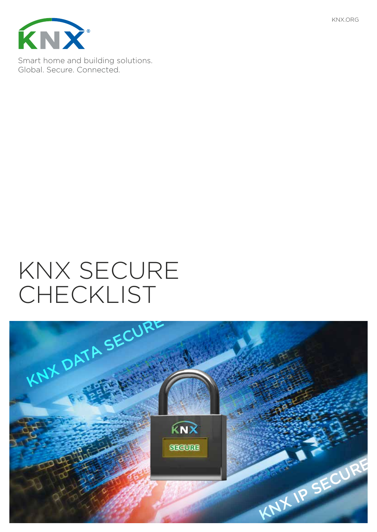



Smart home and building solutions. Global. Secure. Connected.

# KNX SECURE CHECKLIST

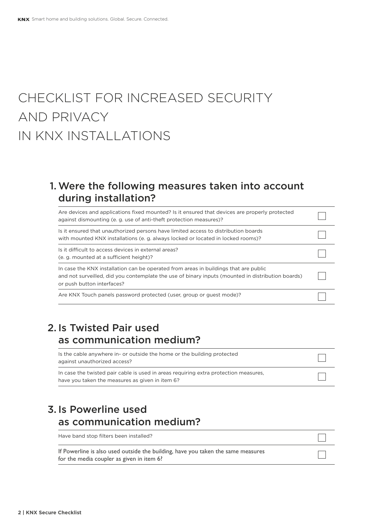## CHECKLIST FOR INCREASED SECURITY AND PRIVACY IN KNX INSTALLATIONS

#### 1.Were the following measures taken into account during installation?

| Are devices and applications fixed mounted? Is it ensured that devices are properly protected<br>against dismounting (e.g. use of anti-theft protection measures)?                                                      |  |
|-------------------------------------------------------------------------------------------------------------------------------------------------------------------------------------------------------------------------|--|
| Is it ensured that unauthorized persons have limited access to distribution boards<br>with mounted KNX installations (e. g. always locked or located in locked rooms)?                                                  |  |
| Is it difficult to access devices in external areas?<br>(e. g. mounted at a sufficient height)?                                                                                                                         |  |
| In case the KNX installation can be operated from areas in buildings that are public<br>and not surveilled, did you contemplate the use of binary inputs (mounted in distribution boards)<br>or push button interfaces? |  |
| Are KNX Touch panels password protected (user, group or quest mode)?                                                                                                                                                    |  |

#### 2. Is Twisted Pair used as communication medium?

| Is the cable anywhere in- or outside the home or the building protected<br>against unauthorized access?                                 |  |
|-----------------------------------------------------------------------------------------------------------------------------------------|--|
| In case the twisted pair cable is used in areas requiring extra protection measures,<br>have you taken the measures as given in item 6? |  |

 $\Box$ 

#### 3. Is Powerline used as communication medium?

Have band stop filters been installed?

If Powerline is also used outside the building, have you taken the same measures for the media coupler as given in item 6?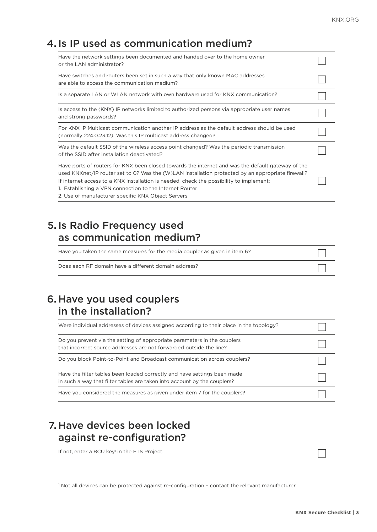#### 4. Is IP used as communication medium?

| Have the network settings been documented and handed over to the home owner<br>or the LAN administrator?                                                                                                                                                                                                                                                                                                           |  |
|--------------------------------------------------------------------------------------------------------------------------------------------------------------------------------------------------------------------------------------------------------------------------------------------------------------------------------------------------------------------------------------------------------------------|--|
| Have switches and routers been set in such a way that only known MAC addresses<br>are able to access the communication medium?                                                                                                                                                                                                                                                                                     |  |
| Is a separate LAN or WLAN network with own hardware used for KNX communication?                                                                                                                                                                                                                                                                                                                                    |  |
| Is access to the (KNX) IP networks limited to authorized persons via appropriate user names<br>and strong passwords?                                                                                                                                                                                                                                                                                               |  |
| For KNX IP Multicast communication another IP address as the default address should be used<br>(normally 224.0.23.12). Was this IP multicast address changed?                                                                                                                                                                                                                                                      |  |
| Was the default SSID of the wireless access point changed? Was the periodic transmission<br>of the SSID after installation deactivated?                                                                                                                                                                                                                                                                            |  |
| Have ports of routers for KNX been closed towards the internet and was the default gateway of the<br>used KNXnet/IP router set to 0? Was the (W)LAN installation protected by an appropriate firewall?<br>If internet access to a KNX installation is needed, check the possibility to implement:<br>1. Establishing a VPN connection to the Internet Router<br>2. Use of manufacturer specific KNX Object Servers |  |

#### 5. Is Radio Frequency used as communication medium?

| Have you taken the same measures for the media coupler as given in item 6? |  |
|----------------------------------------------------------------------------|--|
| Does each RF domain have a different domain address?                       |  |

#### 6. Have you used couplers in the installation?

| Were individual addresses of devices assigned according to their place in the topology?                                                              |  |
|------------------------------------------------------------------------------------------------------------------------------------------------------|--|
| Do you prevent via the setting of appropriate parameters in the couplers<br>that incorrect source addresses are not forwarded outside the line?      |  |
| Do you block Point-to-Point and Broadcast communication across couplers?                                                                             |  |
| Have the filter tables been loaded correctly and have settings been made<br>in such a way that filter tables are taken into account by the couplers? |  |
| Have you considered the measures as given under item 7 for the couplers?                                                                             |  |

#### 7. Have devices been locked against re-configuration?

If not, enter a BCU key<sup>1</sup> in the ETS Project.

 $\overline{\phantom{a}}$ 

1 Not all devices can be protected against re-configuration – contact the relevant manufacturer